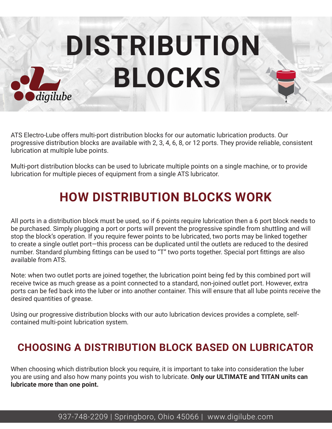**DISTRIBUTION BLOCKS**

digilube

ATS Electro-Lube offers multi-port distribution blocks for our automatic lubrication products. Our progressive distribution blocks are available with 2, 3, 4, 6, 8, or 12 ports. They provide reliable, consistent lubrication at multiple lube points.

Multi-port distribution blocks can be used to lubricate multiple points on a single machine, or to provide lubrication for multiple pieces of equipment from a single ATS lubricator.

#### **HOW DISTRIBUTION BLOCKS WORK**

All ports in a distribution block must be used, so if 6 points require lubrication then a 6 port block needs to be purchased. Simply plugging a port or ports will prevent the progressive spindle from shuttling and will stop the block's operation. If you require fewer points to be lubricated, two ports may be linked together to create a single outlet port—this process can be duplicated until the outlets are reduced to the desired number. Standard plumbing fittings can be used to "T" two ports together. Special port fittings are also available from ATS.

Note: when two outlet ports are joined together, the lubrication point being fed by this combined port will receive twice as much grease as a point connected to a standard, non-joined outlet port. However, extra ports can be fed back into the luber or into another container. This will ensure that all lube points receive the desired quantities of grease.

Using our progressive distribution blocks with our auto lubrication devices provides a complete, selfcontained multi-point lubrication system.

#### **CHOOSING A DISTRIBUTION BLOCK BASED ON LUBRICATOR**

When choosing which distribution block you require, it is important to take into consideration the luber you are using and also how many points you wish to lubricate. **Only our ULTIMATE and TITAN units can lubricate more than one point.**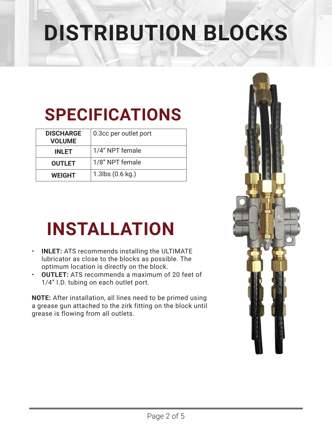## **DISTRIBUTION BLOCKS**

### **SPECIFICATIONS**

| <b>DISCHARGE</b><br><b>VOLUME</b> | 0.3cc per outlet port         |
|-----------------------------------|-------------------------------|
| <b>INLET</b>                      | 1/4" NPT female               |
| <b>OUTLET</b>                     | 1/8" NPT female               |
| <b>WEIGHT</b>                     | $1.3$ lbs $(0.6 \text{ kg.})$ |

### **INSTALLATION**

- **INLET:** ATS recommends installing the ULTIMATE lubricator as close to the blocks as possible. The optimum location is directly on the block.
- **OUTLET:** ATS recommends a maximum of 20 feet of 1/4" I.D. tubing on each outlet port.

**NOTE:** After installation, all lines need to be primed using a grease gun attached to the zirk fitting on the block until grease is flowing from all outlets.

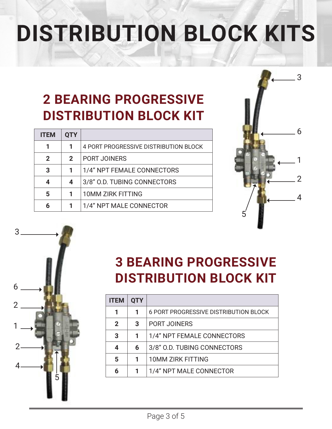## **DISTRIBUTION BLOCK KITS**

### **2 BEARING PROGRESSIVE DISTRIBUTION BLOCK KIT**

| <b>ITFM</b> | QTY          |                                       |
|-------------|--------------|---------------------------------------|
| 1           |              | 4 PORT PROGRESSIVE DISTRIBUTION BLOCK |
| 2           | $\mathbf{2}$ | <b>PORT JOINERS</b>                   |
| 3           |              | 1/4" NPT FEMALE CONNECTORS            |
| 4           | 4            | 3/8" O.D. TUBING CONNECTORS           |
| 5           | 1            | <b>10MM ZIRK FITTING</b>              |
| 6           |              | 1/4" NPT MALE CONNECTOR               |
|             |              |                                       |





#### **3 BEARING PROGRESSIVE DISTRIBUTION BLOCK KIT**

| <b>ITEM</b> | <b>QTY</b> |                                       |
|-------------|------------|---------------------------------------|
|             |            | 6 PORT PROGRESSIVE DISTRIBUTION BLOCK |
| 2           | 3          | <b>PORT JOINERS</b>                   |
| 3           | 1          | 1/4" NPT FEMALE CONNECTORS            |
| 4           | 6          | 3/8" O.D. TUBING CONNECTORS           |
| 5           | 1          | <b>10MM ZIRK FITTING</b>              |
|             |            | 1/4" NPT MALE CONNECTOR               |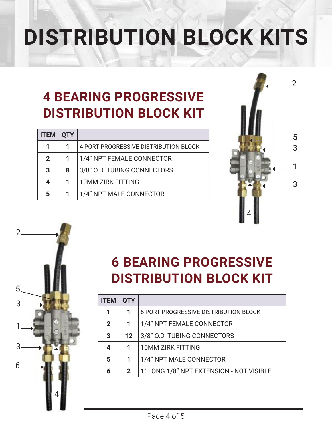# **DISTRIBUTION BLOCK KITS**

### **4 BEARING PROGRESSIVE DISTRIBUTION BLOCK KIT**

| <b>ITEM</b>  | <b>QTY</b> |                                       |
|--------------|------------|---------------------------------------|
| 1            |            | 4 PORT PROGRESSIVE DISTRIBUTION BLOCK |
| $\mathbf{2}$ |            | 1/4" NPT FEMALE CONNECTOR             |
| 3            | 8          | 3/8" O.D. TUBING CONNECTORS           |
| 4            | 1.         | <b>10MM ZIRK FITTING</b>              |
| 5            |            | 1/4" NPT MALE CONNECTOR               |





### **6 BEARING PROGRESSIVE DISTRIBUTION BLOCK KIT**

| <b>ITEM</b> | <b>QTY</b>       |                                          |
|-------------|------------------|------------------------------------------|
|             |                  | 6 PORT PROGRESSIVE DISTRIBUTION BLOCK    |
| 2           | 1                | 1/4" NPT FEMALE CONNECTOR                |
| 3           | 12 <sup>12</sup> | 3/8" O.D. TUBING CONNECTORS              |
|             |                  | <b>10MM ZIRK FITTING</b>                 |
| 5           | 1                | 1/4" NPT MALE CONNECTOR                  |
| 6           | $\mathcal{P}$    | 1" LONG 1/8" NPT EXTENSION - NOT VISIBLE |